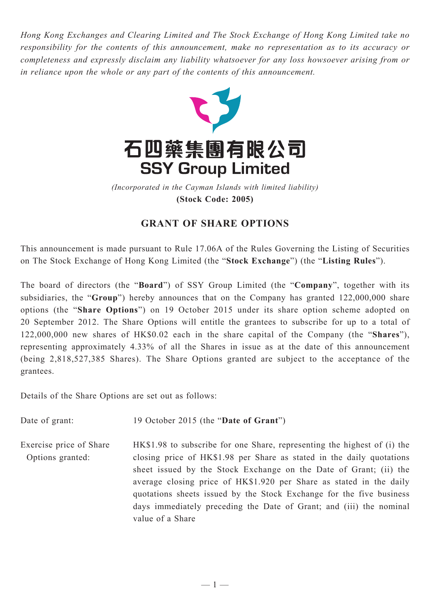*Hong Kong Exchanges and Clearing Limited and The Stock Exchange of Hong Kong Limited take no responsibility for the contents of this announcement, make no representation as to its accuracy or completeness and expressly disclaim any liability whatsoever for any loss howsoever arising from or in reliance upon the whole or any part of the contents of this announcement.*



*(Incorporated in the Cayman Islands with limited liability)* **(Stock Code: 2005)**

## **GRANT OF SHARE OPTIONS**

This announcement is made pursuant to Rule 17.06A of the Rules Governing the Listing of Securities on The Stock Exchange of Hong Kong Limited (the "**Stock Exchange**") (the "**Listing Rules**").

The board of directors (the "**Board**") of SSY Group Limited (the "**Company**", together with its subsidiaries, the "**Group**") hereby announces that on the Company has granted 122,000,000 share options (the "**Share Options**") on 19 October 2015 under its share option scheme adopted on 20 September 2012. The Share Options will entitle the grantees to subscribe for up to a total of 122,000,000 new shares of HK\$0.02 each in the share capital of the Company (the "**Shares**"), representing approximately 4.33% of all the Shares in issue as at the date of this announcement (being 2,818,527,385 Shares). The Share Options granted are subject to the acceptance of the grantees.

Details of the Share Options are set out as follows:

Date of grant: 19 October 2015 (the "**Date of Grant**") Exercise price of Share Options granted: HK\$1.98 to subscribe for one Share, representing the highest of (i) the closing price of HK\$1.98 per Share as stated in the daily quotations sheet issued by the Stock Exchange on the Date of Grant; (ii) the average closing price of HK\$1.920 per Share as stated in the daily quotations sheets issued by the Stock Exchange for the five business days immediately preceding the Date of Grant; and (iii) the nominal value of a Share